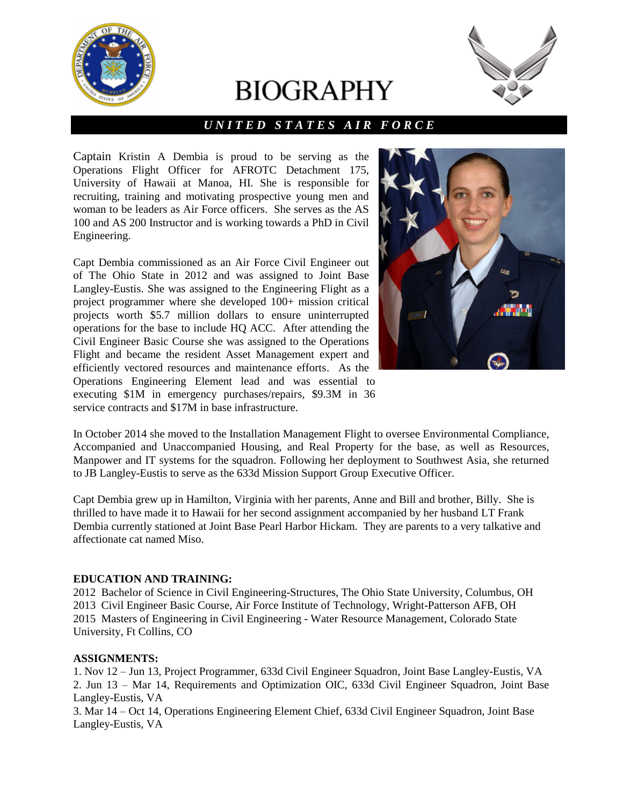

# **BIOGRAPHY**



# *U N I T E D S T A T E S A I R F O R C E*

Captain Kristin A Dembia is proud to be serving as the Operations Flight Officer for AFROTC Detachment 175, University of Hawaii at Manoa, HI. She is responsible for recruiting, training and motivating prospective young men and woman to be leaders as Air Force officers. She serves as the AS 100 and AS 200 Instructor and is working towards a PhD in Civil Engineering.

Capt Dembia commissioned as an Air Force Civil Engineer out of The Ohio State in 2012 and was assigned to Joint Base Langley-Eustis. She was assigned to the Engineering Flight as a project programmer where she developed 100+ mission critical projects worth \$5.7 million dollars to ensure uninterrupted operations for the base to include HQ ACC. After attending the Civil Engineer Basic Course she was assigned to the Operations Flight and became the resident Asset Management expert and efficiently vectored resources and maintenance efforts. As the Operations Engineering Element lead and was essential to executing \$1M in emergency purchases/repairs, \$9.3M in 36 service contracts and \$17M in base infrastructure.



In October 2014 she moved to the Installation Management Flight to oversee Environmental Compliance, Accompanied and Unaccompanied Housing, and Real Property for the base, as well as Resources, Manpower and IT systems for the squadron. Following her deployment to Southwest Asia, she returned to JB Langley-Eustis to serve as the 633d Mission Support Group Executive Officer.

Capt Dembia grew up in Hamilton, Virginia with her parents, Anne and Bill and brother, Billy. She is thrilled to have made it to Hawaii for her second assignment accompanied by her husband LT Frank Dembia currently stationed at Joint Base Pearl Harbor Hickam. They are parents to a very talkative and affectionate cat named Miso.

### **EDUCATION AND TRAINING:**

2012 Bachelor of Science in Civil Engineering-Structures, The Ohio State University, Columbus, OH 2013 Civil Engineer Basic Course, Air Force Institute of Technology, Wright-Patterson AFB, OH 2015 Masters of Engineering in Civil Engineering - Water Resource Management, Colorado State University, Ft Collins, CO

#### **ASSIGNMENTS:**

1. Nov 12 – Jun 13, Project Programmer, 633d Civil Engineer Squadron, Joint Base Langley-Eustis, VA 2. Jun 13 – Mar 14, Requirements and Optimization OIC, 633d Civil Engineer Squadron, Joint Base Langley-Eustis, VA

3. Mar 14 – Oct 14, Operations Engineering Element Chief, 633d Civil Engineer Squadron, Joint Base Langley-Eustis, VA